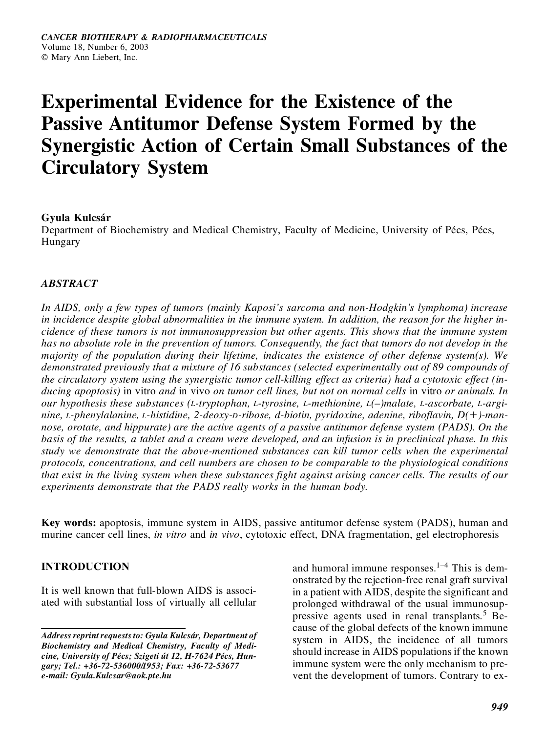# **Experimental Evidence for the Existence of the Passive Antitumor Defense System Formed by the Synergistic Action of Certain Small Substances of the Circulatory System**

## **Gyula Kulcsár**

Department of Biochemistry and Medical Chemistry, Faculty of Medicine, University of Pécs, Pécs, Hungary

## *ABSTRACT*

*In AIDS, only a few types of tumors (mainly Kaposi's sarcoma and non-Hodgkin's lymphoma) increase in incidence despite global abnormalities in the immune system. In addition, the reason for the higher incidence of these tumors is not immunosuppression but other agents. This shows that the immune system has no absolute role in the prevention of tumors. Consequently, the fact that tumors do not develop in the majority of the population during their lifetime, indicates the existence of other defense system(s). We demonstrated previously that a mixture of 16 substances (selected experimentally out of 89 compounds of the circulatory system using the synergistic tumor cell-killing effect as criteria) had a cytotoxic effect (inducing apoptosis)* in vitro *and* in vivo *on tumor cell lines, but not on normal cells* in vitro *or animals. In our hypothesis these substances (L-tryptophan, L-tyrosine, L-methionine, L(–)malate, L-ascorbate, L-arginine, L-phenylalanine, L-histidine, 2-deoxy-D-ribose, d-biotin, pyridoxine, adenine, riboflavin, D(*1*)-mannose, orotate, and hippurate) are the active agents of a passive antitumor defense system (PADS). On the basis of the results, a tablet and a cream were developed, and an infusion is in preclinical phase. In this study we demonstrate that the above-mentioned substances can kill tumor cells when the experimental protocols, concentrations, and cell numbers are chosen to be comparable to the physiological conditions that exist in the living system when these substances fight against arising cancer cells. The results of our experiments demonstrate that the PADS really works in the human body.*

**Key words:** apoptosis, immune system in AIDS, passive antitumor defense system (PADS), human and murine cancer cell lines, *in vitro* and *in vivo*, cytotoxic effect, DNA fragmentation, gel electrophoresis

## **INTRODUCTION**

It is well known that full-blown AIDS is associated with substantial loss of virtually all cellular and humoral immune responses. $1-4$  This is demonstrated by the rejection-free renal graft survival in a patient with AIDS, despite the significant and prolonged withdrawal of the usual immunosuppressive agents used in renal transplants.<sup>5</sup> Because of the global defects of the known immune system in AIDS, the incidence of all tumors should increase in AIDS populations if the known immune system were the only mechanism to prevent the development of tumors. Contrary to ex-

*Address reprint requests to: Gyula Kulcsár, Department of Biochemistry and Medical Chemistry, Faculty of Medicine, University of Pécs; Szigeti út 12, H-7624 Pécs, Hungary; Tel.: +36-72-536000/1953; Fax: +36-72-53677 e-mail: Gyula.Kulcsar@aok.pte.hu*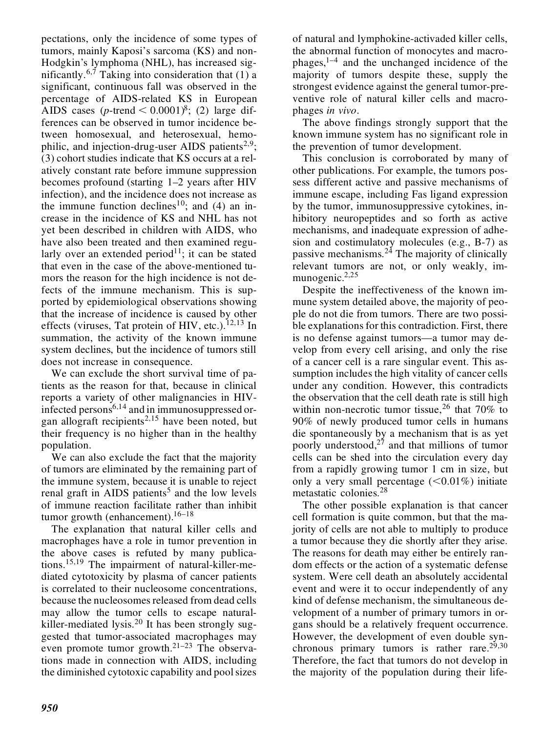pectations, only the incidence of some types of tumors, mainly Kaposi's sarcoma (KS) and non-Hodgkin's lymphoma (NHL), has increased significantly.<sup>6,7</sup> Taking into consideration that (1) a significant, continuous fall was observed in the percentage of AIDS-related KS in European AIDS cases (*p*-trend  $\leq 0.0001$ <sup>8</sup>; (2) large differences can be observed in tumor incidence between homosexual, and heterosexual, hemophilic, and injection-drug-user AIDS patients<sup>2,9</sup>; (3) cohort studies indicate that KS occurs at a relatively constant rate before immune suppression becomes profound (starting 1–2 years after HIV infection), and the incidence does not increase as the immune function declines<sup>10</sup>; and (4) an increase in the incidence of KS and NHL has not yet been described in children with AIDS, who have also been treated and then examined regularly over an extended period<sup>11</sup>; it can be stated that even in the case of the above-mentioned tumors the reason for the high incidence is not defects of the immune mechanism. This is supported by epidemiological observations showing that the increase of incidence is caused by other effects (viruses, Tat protein of HIV, etc.).<sup>12,13</sup> In summation, the activity of the known immune system declines, but the incidence of tumors still does not increase in consequence.

We can exclude the short survival time of patients as the reason for that, because in clinical reports a variety of other malignancies in HIVinfected persons<sup>6,14</sup> and in immunosuppressed organ allograft recipients<sup>2,15</sup> have been noted, but their frequency is no higher than in the healthy population.

We can also exclude the fact that the majority of tumors are eliminated by the remaining part of the immune system, because it is unable to reject renal graft in  $\widehat{AIDS}$  patients<sup>5</sup> and the low levels of immune reaction facilitate rather than inhibit tumor growth (enhancement).<sup>16–18</sup>

The explanation that natural killer cells and macrophages have a role in tumor prevention in the above cases is refuted by many publications.15,19 The impairment of natural-killer-mediated cytotoxicity by plasma of cancer patients is correlated to their nucleosome concentrations, because the nucleosomes released from dead cells may allow the tumor cells to escape naturalkiller-mediated lysis.<sup>20</sup> It has been strongly suggested that tumor-associated macrophages may even promote tumor growth. $21-23$  The observations made in connection with AIDS, including the diminished cytotoxic capability and pool sizes

of natural and lymphokine-activaded killer cells, the abnormal function of monocytes and macrophages, $1-4$  and the unchanged incidence of the majority of tumors despite these, supply the strongest evidence against the general tumor-preventive role of natural killer cells and macrophages *in vivo*.

The above findings strongly support that the known immune system has no significant role in the prevention of tumor development.

This conclusion is corroborated by many of other publications. For example, the tumors possess different active and passive mechanisms of immune escape, including Fas ligand expression by the tumor, immunosuppressive cytokines, inhibitory neuropeptides and so forth as active mechanisms, and inadequate expression of adhesion and costimulatory molecules (e.g., B-7) as passive mechanisms.<sup>24</sup> The majority of clinically relevant tumors are not, or only weakly, immunogenic. $2,25$ 

Despite the ineffectiveness of the known immune system detailed above, the majority of people do not die from tumors. There are two possible explanations for this contradiction. First, there is no defense against tumors—a tumor may develop from every cell arising, and only the rise of a cancer cell is a rare singular event. This assumption includes the high vitality of cancer cells under any condition. However, this contradicts the observation that the cell death rate is still high within non-necrotic tumor tissue,  $26$  that 70% to 90% of newly produced tumor cells in humans die spontaneously by a mechanism that is as yet poorly understood, $27$  and that millions of tumor cells can be shed into the circulation every day from a rapidly growing tumor 1 cm in size, but only a very small percentage  $(<0.01\%)$  initiate metastatic colonies.<sup>28</sup>

The other possible explanation is that cancer cell formation is quite common, but that the majority of cells are not able to multiply to produce a tumor because they die shortly after they arise. The reasons for death may either be entirely random effects or the action of a systematic defense system. Were cell death an absolutely accidental event and were it to occur independently of any kind of defense mechanism, the simultaneous development of a number of primary tumors in organs should be a relatively frequent occurrence. However, the development of even double synchronous primary tumors is rather rare.<sup>29,30</sup> Therefore, the fact that tumors do not develop in the majority of the population during their life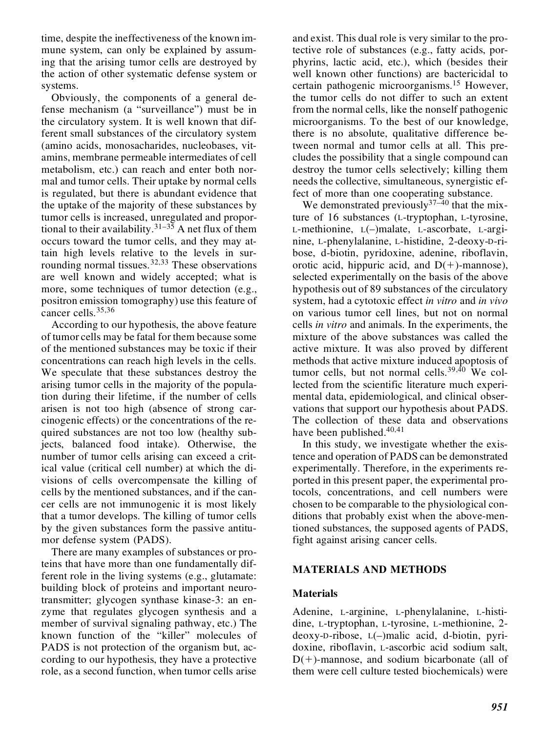time, despite the ineffectiveness of the known immune system, can only be explained by assuming that the arising tumor cells are destroyed by the action of other systematic defense system or systems.

Obviously, the components of a general defense mechanism (a "surveillance") must be in the circulatory system. It is well known that different small substances of the circulatory system (amino acids, monosacharides, nucleobases, vitamins, membrane permeable intermediates of cell metabolism, etc.) can reach and enter both normal and tumor cells. Their uptake by normal cells is regulated, but there is abundant evidence that the uptake of the majority of these substances by tumor cells is increased, unregulated and proportional to their availability.<sup>31–35</sup> A net flux of them occurs toward the tumor cells, and they may attain high levels relative to the levels in surrounding normal tissues. $32,33$  These observations are well known and widely accepted; what is more, some techniques of tumor detection (e.g., positron emission tomography) use this feature of cancer cells.<sup>35,36</sup>

According to our hypothesis, the above feature of tumor cells may be fatal for them because some of the mentioned substances may be toxic if their concentrations can reach high levels in the cells. We speculate that these substances destroy the arising tumor cells in the majority of the population during their lifetime, if the number of cells arisen is not too high (absence of strong carcinogenic effects) or the concentrations of the required substances are not too low (healthy subjects, balanced food intake). Otherwise, the number of tumor cells arising can exceed a critical value (critical cell number) at which the divisions of cells overcompensate the killing of cells by the mentioned substances, and if the cancer cells are not immunogenic it is most likely that a tumor develops. The killing of tumor cells by the given substances form the passive antitumor defense system (PADS).

There are many examples of substances or proteins that have more than one fundamentally different role in the living systems (e.g., glutamate: building block of proteins and important neurotransmitter; glycogen synthase kinase-3: an enzyme that regulates glycogen synthesis and a member of survival signaling pathway, etc.) The known function of the "killer" molecules of PADS is not protection of the organism but, according to our hypothesis, they have a protective role, as a second function, when tumor cells arise

and exist. This dual role is very similar to the protective role of substances (e.g., fatty acids, porphyrins, lactic acid, etc.), which (besides their well known other functions) are bactericidal to certain pathogenic microorganisms.<sup>15</sup> However, the tumor cells do not differ to such an extent from the normal cells, like the nonself pathogenic microorganisms. To the best of our knowledge, there is no absolute, qualitative difference between normal and tumor cells at all. This precludes the possibility that a single compound can destroy the tumor cells selectively; killing them needs the collective, simultaneous, synergistic effect of more than one cooperating substance.

We demonstrated previously  $37-40$  that the mixture of 16 substances (L-tryptophan, L-tyrosine, L-methionine, L(–)malate, L-ascorbate, L-arginine, L-phenylalanine, L-histidine, 2-deoxy-D-ribose, d-biotin, pyridoxine, adenine, riboflavin, orotic acid, hippuric acid, and  $D(+)$ -mannose), selected experimentally on the basis of the above hypothesis out of 89 substances of the circulatory system, had a cytotoxic effect *in vitro* and *in vivo* on various tumor cell lines, but not on normal cells *in vitro* and animals. In the experiments, the mixture of the above substances was called the active mixture. It was also proved by different methods that active mixture induced apoptosis of tumor cells, but not normal cells.<sup>39,40</sup> We collected from the scientific literature much experimental data, epidemiological, and clinical observations that support our hypothesis about PADS. The collection of these data and observations have been published.<sup>40,41</sup>

In this study, we investigate whether the existence and operation of PADS can be demonstrated experimentally. Therefore, in the experiments reported in this present paper, the experimental protocols, concentrations, and cell numbers were chosen to be comparable to the physiological conditions that probably exist when the above-mentioned substances, the supposed agents of PADS, fight against arising cancer cells.

## **MATERIALS AND METHODS**

#### **Materials**

Adenine, L-arginine, L-phenylalanine, L-histidine, L-tryptophan, L-tyrosine, L-methionine, 2 deoxy-D-ribose, L(–)malic acid, d-biotin, pyridoxine, riboflavin, L-ascorbic acid sodium salt,  $D(+)$ -mannose, and sodium bicarbonate (all of them were cell culture tested biochemicals) were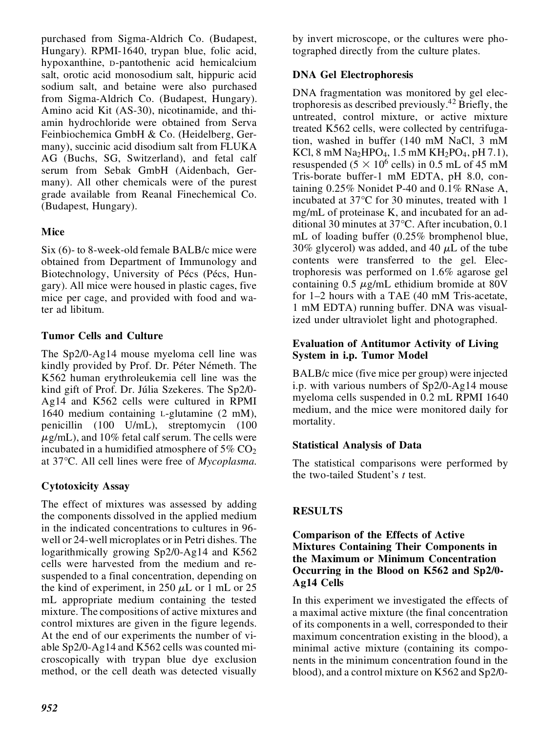purchased from Sigma-Aldrich Co. (Budapest, Hungary). RPMI-1640, trypan blue, folic acid, hypoxanthine, D-pantothenic acid hemicalcium salt, orotic acid monosodium salt, hippuric acid sodium salt, and betaine were also purchased from Sigma-Aldrich Co. (Budapest, Hungary). Amino acid Kit (AS-30), nicotinamide, and thiamin hydrochloride were obtained from Serva Feinbiochemica GmbH & Co. (Heidelberg, Germany), succinic acid disodium salt from FLUKA AG (Buchs, SG, Switzerland), and fetal calf serum from Sebak GmbH (Aidenbach, Germany). All other chemicals were of the purest grade available from Reanal Finechemical Co. (Budapest, Hungary).

# **Mice**

Six (6)- to 8-week-old female BALB/c mice were obtained from Department of Immunology and Biotechnology, University of Pécs (Pécs, Hungary). All mice were housed in plastic cages, five mice per cage, and provided with food and water ad libitum.

## **Tumor Cells and Culture**

The Sp2/0-Ag14 mouse myeloma cell line was kindly provided by Prof. Dr. Péter Németh. The K562 human erythroleukemia cell line was the kind gift of Prof. Dr. Júlia Szekeres. The Sp2/0- Ag14 and K562 cells were cultured in RPMI 1640 medium containing L-glutamine (2 mM), penicillin (100 U/mL), streptomycin (100  $\mu$ g/mL), and 10% fetal calf serum. The cells were incubated in a humidified atmosphere of  $5\%$  CO<sub>2</sub> at 37°C. All cell lines were free of *Mycoplasma*.

# **Cytotoxicity Assay**

The effect of mixtures was assessed by adding the components dissolved in the applied medium in the indicated concentrations to cultures in 96 well or 24-well microplates or in Petri dishes. The logarithmically growing Sp2/0-Ag14 and K562 cells were harvested from the medium and resuspended to a final concentration, depending on the kind of experiment, in 250  $\mu$ L or 1 mL or 25 mL appropriate medium containing the tested mixture. The compositions of active mixtures and control mixtures are given in the figure legends. At the end of our experiments the number of viable Sp2/0-Ag14 and K562 cells was counted microscopically with trypan blue dye exclusion method, or the cell death was detected visually by invert microscope, or the cultures were photographed directly from the culture plates.

## **DNA Gel Electrophoresis**

DNA fragmentation was monitored by gel electrophoresis as described previously.<sup>42</sup> Briefly, the untreated, control mixture, or active mixture treated K562 cells, were collected by centrifugation, washed in buffer (140 mM NaCl, 3 mM KCl, 8 mM Na<sub>2</sub>HPO<sub>4</sub>, 1.5 mM KH<sub>2</sub>PO<sub>4</sub>, pH 7.1), resuspended ( $5 \times 10^6$  cells) in 0.5 mL of 45 mM Tris-borate buffer-1 mM EDTA, pH 8.0, containing 0.25% Nonidet P-40 and 0.1% RNase A, incubated at 37°C for 30 minutes, treated with 1 mg/mL of proteinase K, and incubated for an additional 30 minutes at 37°C. After incubation, 0.1 mL of loading buffer (0.25% bromphenol blue, 30% glycerol) was added, and 40 *m*L of the tube contents were transferred to the gel. Electrophoresis was performed on 1.6% agarose gel containing 0.5 *m*g/mL ethidium bromide at 80V for 1–2 hours with a TAE (40 mM Tris-acetate, 1 mM EDTA) running buffer. DNA was visualized under ultraviolet light and photographed.

## **Evaluation of Antitumor Activity of Living System in i.p. Tumor Model**

BALB/c mice (five mice per group) were injected i.p. with various numbers of Sp2/0-Ag14 mouse myeloma cells suspended in 0.2 mL RPMI 1640 medium, and the mice were monitored daily for mortality.

## **Statistical Analysis of Data**

The statistical comparisons were performed by the two-tailed Student's *t* test.

# **RESULTS**

## **Comparison of the Effects of Active Mixtures Containing Their Components in the Maximum or Minimum Concentration Occurring in the Blood on K562 and Sp2/0- Ag14 Cells**

In this experiment we investigated the effects of a maximal active mixture (the final concentration of its components in a well, corresponded to their maximum concentration existing in the blood), a minimal active mixture (containing its components in the minimum concentration found in the blood), and a control mixture on K562 and Sp2/0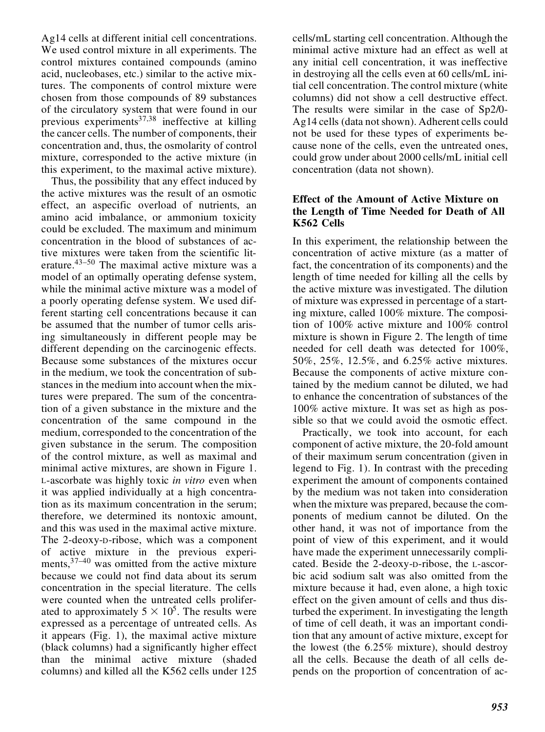Ag14 cells at different initial cell concentrations. We used control mixture in all experiments. The control mixtures contained compounds (amino acid, nucleobases, etc.) similar to the active mixtures. The components of control mixture were chosen from those compounds of 89 substances of the circulatory system that were found in our previous experiments<sup>37,38</sup> ineffective at killing the cancer cells. The number of components, their concentration and, thus, the osmolarity of control mixture, corresponded to the active mixture (in this experiment, to the maximal active mixture).

Thus, the possibility that any effect induced by the active mixtures was the result of an osmotic effect, an aspecific overload of nutrients, an amino acid imbalance, or ammonium toxicity could be excluded. The maximum and minimum concentration in the blood of substances of active mixtures were taken from the scientific literature.43–50 The maximal active mixture was a model of an optimally operating defense system, while the minimal active mixture was a model of a poorly operating defense system. We used different starting cell concentrations because it can be assumed that the number of tumor cells arising simultaneously in different people may be different depending on the carcinogenic effects. Because some substances of the mixtures occur in the medium, we took the concentration of substances in the medium into account when the mixtures were prepared. The sum of the concentration of a given substance in the mixture and the concentration of the same compound in the medium, corresponded to the concentration of the given substance in the serum. The composition of the control mixture, as well as maximal and minimal active mixtures, are shown in Figure 1. L-ascorbate was highly toxic *in vitro* even when it was applied individually at a high concentration as its maximum concentration in the serum; therefore, we determined its nontoxic amount, and this was used in the maximal active mixture. The 2-deoxy-D-ribose, which was a component of active mixture in the previous experiments,37–40 was omitted from the active mixture because we could not find data about its serum concentration in the special literature. The cells were counted when the untreated cells proliferated to approximately  $5 \times 10^5$ . The results were expressed as a percentage of untreated cells. As it appears (Fig. 1), the maximal active mixture (black columns) had a significantly higher effect than the minimal active mixture (shaded columns) and killed all the K562 cells under 125

cells/mL starting cell concentration. Although the minimal active mixture had an effect as well at any initial cell concentration, it was ineffective in destroying all the cells even at 60 cells/mL initial cell concentration. The control mixture (white columns) did not show a cell destructive effect. The results were similar in the case of Sp2/0- Ag14 cells (data not shown). Adherent cells could not be used for these types of experiments because none of the cells, even the untreated ones, could grow under about 2000 cells/mL initial cell concentration (data not shown).

## **Effect of the Amount of Active Mixture on the Length of Time Needed for Death of All K562 Cells**

In this experiment, the relationship between the concentration of active mixture (as a matter of fact, the concentration of its components) and the length of time needed for killing all the cells by the active mixture was investigated. The dilution of mixture was expressed in percentage of a starting mixture, called 100% mixture. The composition of 100% active mixture and 100% control mixture is shown in Figure 2. The length of time needed for cell death was detected for 100%, 50%, 25%, 12.5%, and 6.25% active mixtures. Because the components of active mixture contained by the medium cannot be diluted, we had to enhance the concentration of substances of the 100% active mixture. It was set as high as possible so that we could avoid the osmotic effect.

Practically, we took into account, for each component of active mixture, the 20-fold amount of their maximum serum concentration (given in legend to Fig. 1). In contrast with the preceding experiment the amount of components contained by the medium was not taken into consideration when the mixture was prepared, because the components of medium cannot be diluted. On the other hand, it was not of importance from the point of view of this experiment, and it would have made the experiment unnecessarily complicated. Beside the 2-deoxy-D-ribose, the L-ascorbic acid sodium salt was also omitted from the mixture because it had, even alone, a high toxic effect on the given amount of cells and thus disturbed the experiment. In investigating the length of time of cell death, it was an important condition that any amount of active mixture, except for the lowest (the 6.25% mixture), should destroy all the cells. Because the death of all cells depends on the proportion of concentration of ac-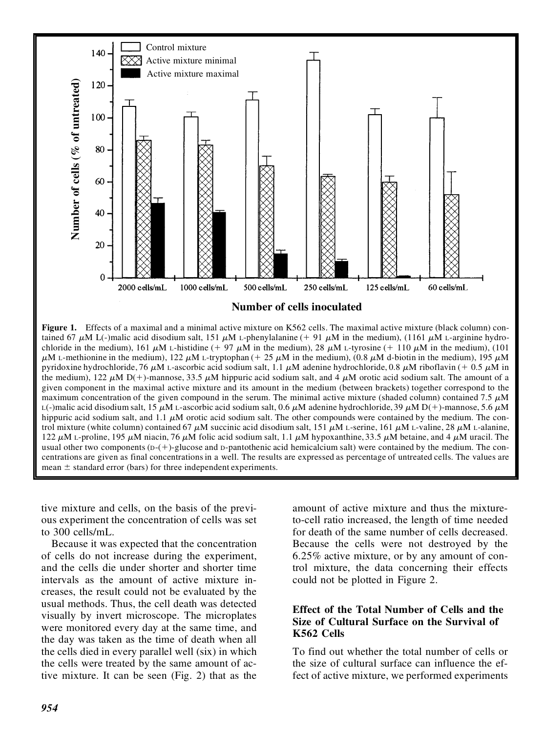

**Figure 1.** Effects of a maximal and a minimal active mixture on K562 cells. The maximal active mixture (black column) contained 67  $\mu$ M L(-)malic acid disodium salt, 151  $\mu$ M L-phenylalanine (+ 91  $\mu$ M in the medium), (1161  $\mu$ M L-arginine hydrochloride in the medium), 161  $\mu$ M *L*-histidine (+ 97  $\mu$ M in the medium), 28  $\mu$ M *L*-tyrosine (+ 110  $\mu$ M in the medium), (101  $\mu$ M L-methionine in the medium), 122  $\mu$ M L-tryptophan (+ 25  $\mu$ M in the medium), (0.8  $\mu$ M d-biotin in the medium), 195  $\mu$ M pyridoxine hydrochloride, 76 *m*M L-ascorbic acid sodium salt, 1.1 *m*M adenine hydrochloride, 0.8 *m*M riboflavin (1 0.5 *m*M in the medium), 122  $\mu$ M D(+)-mannose, 33.5  $\mu$ M hippuric acid sodium salt, and 4  $\mu$ M orotic acid sodium salt. The amount of a given component in the maximal active mixture and its amount in the medium (between brackets) together correspond to the maximum concentration of the given compound in the serum. The minimal active mixture (shaded column) contained 7.5 *m*M L(-)malic acid disodium salt, 15  $\mu$ M L-ascorbic acid sodium salt, 0.6  $\mu$ M adenine hydrochloride, 39  $\mu$ M D(+)-mannose, 5.6  $\mu$ M hippuric acid sodium salt, and 1.1  $\mu$ M orotic acid sodium salt. The other compounds were contained by the medium. The control mixture (white column) contained 67 *m*M succinic acid disodium salt, 151 *m*M L-serine, 161 *m*M L-valine, 28 *m*M L-alanine, 122 *m*M L-proline, 195 *m*M niacin, 76 *m*M folic acid sodium salt, 1.1 *m*M hypoxanthine, 33.5 *m*M betaine, and 4 *m*M uracil. The usual other two components  $(p-(+)$ -glucose and  $p$ -pantothenic acid hemicalcium salt) were contained by the medium. The concentrations are given as final concentrations in a well. The results are expressed as percentage of untreated cells. The values are mean  $\pm$  standard error (bars) for three independent experiments.

tive mixture and cells, on the basis of the previous experiment the concentration of cells was set to 300 cells/mL.

Because it was expected that the concentration of cells do not increase during the experiment, and the cells die under shorter and shorter time intervals as the amount of active mixture increases, the result could not be evaluated by the usual methods. Thus, the cell death was detected visually by invert microscope. The microplates were monitored every day at the same time, and the day was taken as the time of death when all the cells died in every parallel well (six) in which the cells were treated by the same amount of active mixture. It can be seen (Fig. 2) that as the amount of active mixture and thus the mixtureto-cell ratio increased, the length of time needed for death of the same number of cells decreased. Because the cells were not destroyed by the 6.25% active mixture, or by any amount of control mixture, the data concerning their effects could not be plotted in Figure 2.

## **Effect of the Total Number of Cells and the Size of Cultural Surface on the Survival of K562 Cells**

To find out whether the total number of cells or the size of cultural surface can influence the effect of active mixture, we performed experiments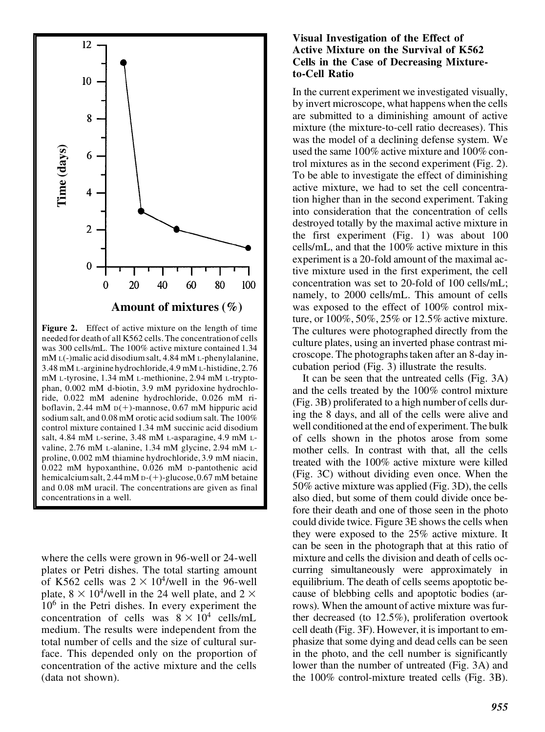

**Figure 2.** Effect of active mixture on the length of time needed for death of all K562 cells. The concentration of cells was 300 cells/mL. The 100% active mixture contained 1.34 mM L(-)malic acid disodium salt, 4.84 mM L-phenylalanine, 3.48 mM L-arginine hydrochloride, 4.9 mM L-histidine, 2.76 mM L-tyrosine, 1.34 mM L-methionine, 2.94 mM L-tryptophan, 0.002 mM d-biotin, 3.9 mM pyridoxine hydrochloride, 0.022 mM adenine hydrochloride, 0.026 mM riboflavin, 2.44 mM  $p(+)$ -mannose, 0.67 mM hippuric acid sodium salt, and 0.08 mM orotic acid sodium salt. The 100% control mixture contained 1.34 mM succinic acid disodium salt, 4.84 mM L-serine, 3.48 mM L-asparagine, 4.9 mM L valine, 2.76 mM L-alanine, 1.34 mM glycine, 2.94 mM L proline, 0.002 mM thiamine hydrochloride, 3.9 mM niacin, 0.022 mM hypoxanthine, 0.026 mM D-pantothenic acid hemicalcium salt,  $2.44 \text{ mM }$  D-(+)-glucose, 0.67 mM betaine and 0.08 mM uracil. The concentrations are given as final concentrations in a well.

where the cells were grown in 96-well or 24-well plates or Petri dishes. The total starting amount of K562 cells was  $2 \times 10^4$ /well in the 96-well plate,  $8 \times 10^4$ /well in the 24 well plate, and 2  $\times$  $10<sup>6</sup>$  in the Petri dishes. In every experiment the concentration of cells was  $8 \times 10^4$  cells/mL medium. The results were independent from the total number of cells and the size of cultural surface. This depended only on the proportion of concentration of the active mixture and the cells (data not shown).

#### **Visual Investigation of the Effect of Active Mixture on the Survival of K562 Cells in the Case of Decreasing Mixtureto-Cell Ratio**

In the current experiment we investigated visually, by invert microscope, what happens when the cells are submitted to a diminishing amount of active mixture (the mixture-to-cell ratio decreases). This was the model of a declining defense system. We used the same 100% active mixture and 100% control mixtures as in the second experiment (Fig. 2). To be able to investigate the effect of diminishing active mixture, we had to set the cell concentration higher than in the second experiment. Taking into consideration that the concentration of cells destroyed totally by the maximal active mixture in the first experiment (Fig. 1) was about 100 cells/mL, and that the 100% active mixture in this experiment is a 20-fold amount of the maximal active mixture used in the first experiment, the cell concentration was set to 20-fold of 100 cells/mL; namely, to 2000 cells/mL. This amount of cells was exposed to the effect of 100% control mixture, or 100%, 50%, 25% or 12.5% active mixture. The cultures were photographed directly from the culture plates, using an inverted phase contrast microscope. The photographs taken after an 8-day incubation period (Fig. 3) illustrate the results.

It can be seen that the untreated cells (Fig. 3A) and the cells treated by the 100% control mixture (Fig. 3B) proliferated to a high number of cells during the 8 days, and all of the cells were alive and well conditioned at the end of experiment. The bulk of cells shown in the photos arose from some mother cells. In contrast with that, all the cells treated with the 100% active mixture were killed (Fig. 3C) without dividing even once. When the 50% active mixture was applied (Fig. 3D), the cells also died, but some of them could divide once before their death and one of those seen in the photo could divide twice. Figure 3E shows the cells when they were exposed to the 25% active mixture. It can be seen in the photograph that at this ratio of mixture and cells the division and death of cells occurring simultaneously were approximately in equilibrium. The death of cells seems apoptotic because of blebbing cells and apoptotic bodies (arrows). When the amount of active mixture was further decreased (to 12.5%), proliferation overtook cell death (Fig. 3F). However, it is important to emphasize that some dying and dead cells can be seen in the photo, and the cell number is significantly lower than the number of untreated (Fig. 3A) and the 100% control-mixture treated cells (Fig. 3B).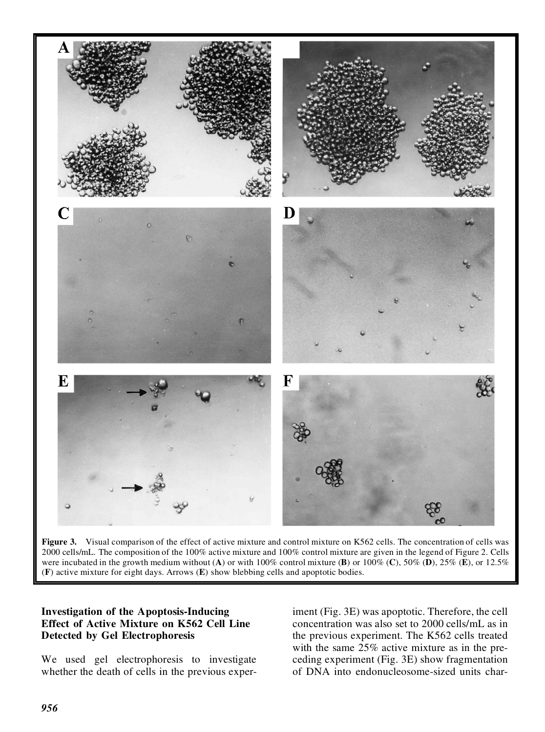

**Figure 3.** Visual comparison of the effect of active mixture and control mixture on K562 cells. The concentration of cells was 2000 cells/mL. The composition of the 100% active mixture and 100% control mixture are given in the legend of Figure 2. Cells were incubated in the growth medium without (**A**) or with 100% control mixture (**B**) or 100% (**C**), 50% (**D**), 25% (**E**), or 12.5% (**F**) active mixture for eight days. Arrows (**E**) show blebbing cells and apoptotic bodies.

## **Investigation of the Apoptosis-Inducing Effect of Active Mixture on K562 Cell Line Detected by Gel Electrophoresis**

We used gel electrophoresis to investigate whether the death of cells in the previous experiment (Fig. 3E) was apoptotic. Therefore, the cell concentration was also set to 2000 cells/mL as in the previous experiment. The K562 cells treated with the same 25% active mixture as in the preceding experiment (Fig. 3E) show fragmentation of DNA into endonucleosome-sized units char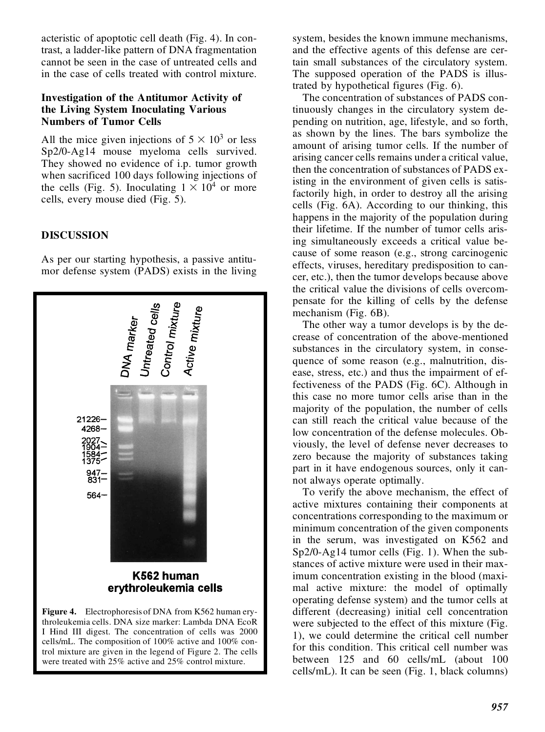acteristic of apoptotic cell death (Fig. 4). In contrast, a ladder-like pattern of DNA fragmentation cannot be seen in the case of untreated cells and in the case of cells treated with control mixture.

#### **Investigation of the Antitumor Activity of the Living System Inoculating Various Numbers of Tumor Cells**

All the mice given injections of  $5 \times 10^3$  or less Sp2/0-Ag14 mouse myeloma cells survived. They showed no evidence of i.p. tumor growth when sacrificed 100 days following injections of the cells (Fig. 5). Inoculating  $1 \times 10^4$  or more cells, every mouse died (Fig. 5).

## **DISCUSSION**

As per our starting hypothesis, a passive antitumor defense system (PADS) exists in the living



system, besides the known immune mechanisms, and the effective agents of this defense are certain small substances of the circulatory system. The supposed operation of the PADS is illustrated by hypothetical figures (Fig. 6).

The concentration of substances of PADS continuously changes in the circulatory system depending on nutrition, age, lifestyle, and so forth, as shown by the lines. The bars symbolize the amount of arising tumor cells. If the number of arising cancer cells remains under a critical value, then the concentration of substances of PADS existing in the environment of given cells is satisfactorily high, in order to destroy all the arising cells (Fig. 6A). According to our thinking, this happens in the majority of the population during their lifetime. If the number of tumor cells arising simultaneously exceeds a critical value because of some reason (e.g., strong carcinogenic effects, viruses, hereditary predisposition to cancer, etc.), then the tumor develops because above the critical value the divisions of cells overcompensate for the killing of cells by the defense mechanism (Fig. 6B).

The other way a tumor develops is by the decrease of concentration of the above-mentioned substances in the circulatory system, in consequence of some reason (e.g., malnutrition, disease, stress, etc.) and thus the impairment of effectiveness of the PADS (Fig. 6C). Although in this case no more tumor cells arise than in the majority of the population, the number of cells can still reach the critical value because of the low concentration of the defense molecules. Obviously, the level of defense never decreases to zero because the majority of substances taking part in it have endogenous sources, only it cannot always operate optimally.

To verify the above mechanism, the effect of active mixtures containing their components at concentrations corresponding to the maximum or minimum concentration of the given components in the serum, was investigated on K562 and Sp2/0-Ag14 tumor cells (Fig. 1). When the substances of active mixture were used in their maximum concentration existing in the blood (maximal active mixture: the model of optimally operating defense system) and the tumor cells at different (decreasing) initial cell concentration were subjected to the effect of this mixture (Fig. 1), we could determine the critical cell number for this condition. This critical cell number was between 125 and 60 cells/mL (about 100 cells/mL). It can be seen (Fig. 1, black columns)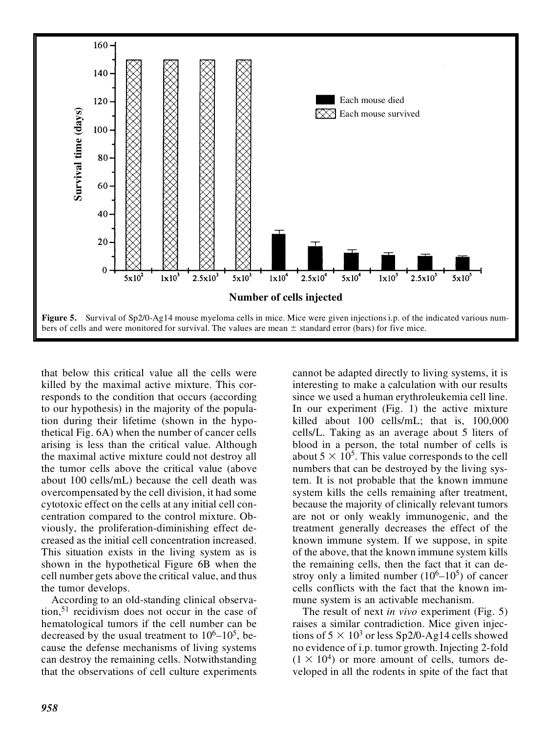

that below this critical value all the cells were killed by the maximal active mixture. This corresponds to the condition that occurs (according to our hypothesis) in the majority of the population during their lifetime (shown in the hypothetical Fig. 6A) when the number of cancer cells arising is less than the critical value. Although the maximal active mixture could not destroy all the tumor cells above the critical value (above about 100 cells/mL) because the cell death was overcompensated by the cell division, it had some cytotoxic effect on the cells at any initial cell concentration compared to the control mixture. Obviously, the proliferation-diminishing effect decreased as the initial cell concentration increased. This situation exists in the living system as is shown in the hypothetical Figure 6B when the cell number gets above the critical value, and thus the tumor develops.

According to an old-standing clinical observation,<sup>51</sup> recidivism does not occur in the case of hematological tumors if the cell number can be decreased by the usual treatment to  $10^6 - 10^5$ , because the defense mechanisms of living systems can destroy the remaining cells. Notwithstanding that the observations of cell culture experiments cannot be adapted directly to living systems, it is interesting to make a calculation with our results since we used a human erythroleukemia cell line. In our experiment (Fig. 1) the active mixture killed about 100 cells/mL; that is, 100,000 cells/L. Taking as an average about 5 liters of blood in a person, the total number of cells is about  $5 \times 10^5$ . This value corresponds to the cell numbers that can be destroyed by the living system. It is not probable that the known immune system kills the cells remaining after treatment, because the majority of clinically relevant tumors are not or only weakly immunogenic, and the treatment generally decreases the effect of the known immune system. If we suppose, in spite of the above, that the known immune system kills the remaining cells, then the fact that it can destroy only a limited number  $(10^6 - 10^5)$  of cancer cells conflicts with the fact that the known immune system is an activable mechanism.

The result of next *in vivo* experiment (Fig. 5) raises a similar contradiction. Mice given injections of  $5 \times 10^3$  or less Sp2/0-Ag14 cells showed no evidence of i.p. tumor growth. Injecting 2-fold  $(1 \times 10^4)$  or more amount of cells, tumors developed in all the rodents in spite of the fact that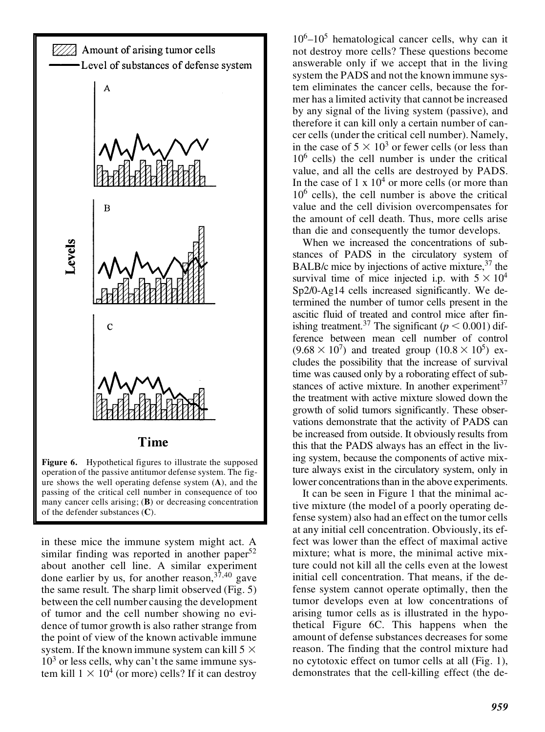

operation of the passive antitumor defense system. The fig ure shows the well operating defense system (**A**), and the passing of the critical cell number in consequence of too many cancer cells arising; (**B**) or decreasing concentration of the defender substances (**C**).

in these mice the immune system might act. A similar finding was reported in another paper<sup>52</sup> about another cell line. A similar experiment done earlier by us, for another reason,  $37,40$  gave the same result. The sharp limit observed (Fig. 5) between the cell number causing the development of tumor and the cell number showing no evidence of tumor growth is also rather strange from the point of view of the known activable immune system. If the known immune system can kill  $5 \times$  $10<sup>3</sup>$  or less cells, why can't the same immune system kill  $1 \times 10^4$  (or more) cells? If it can destroy  $10^6$ – $10^5$  hematological cancer cells, why can it not destroy more cells? These questions become answerable only if we accept that in the living system the PADS and not the known immune system eliminates the cancer cells, because the former has a limited activity that cannot be increased by any signal of the living system (passive), and therefore it can kill only a certain number of cancer cells (under the critical cell number). Namely, in the case of  $5 \times 10^3$  or fewer cells (or less than  $10<sup>6</sup>$  cells) the cell number is under the critical value, and all the cells are destroyed by PADS. In the case of  $1 \times 10^4$  or more cells (or more than  $10<sup>6</sup>$  cells), the cell number is above the critical value and the cell division overcompensates for the amount of cell death. Thus, more cells arise than die and consequently the tumor develops.

When we increased the concentrations of substances of PADS in the circulatory system of BALB/c mice by injections of active mixture,  $37$  the survival time of mice injected i.p. with  $5 \times 10^4$ Sp2/0-Ag14 cells increased significantly. We determined the number of tumor cells present in the ascitic fluid of treated and control mice after finishing treatment.<sup>37</sup> The significant ( $p < 0.001$ ) difference between mean cell number of control  $(9.68 \times 10^7)$  and treated group  $(10.8 \times 10^5)$  excludes the possibility that the increase of survival time was caused only by a roborating effect of substances of active mixture. In another experiment $37$ the treatment with active mixture slowed down the growth of solid tumors significantly. These observations demonstrate that the activity of PADS can be increased from outside. It obviously results from this that the PADS always has an effect in the living system, because the components of active mixture always exist in the circulatory system, only in lower concentrations than in the above experiments.

It can be seen in Figure 1 that the minimal active mixture (the model of a poorly operating defense system) also had an effect on the tumor cells at any initial cell concentration. Obviously, its effect was lower than the effect of maximal active mixture; what is more, the minimal active mixture could not kill all the cells even at the lowest initial cell concentration. That means, if the defense system cannot operate optimally, then the tumor develops even at low concentrations of arising tumor cells as is illustrated in the hypothetical Figure 6C. This happens when the amount of defense substances decreases for some reason. The finding that the control mixture had no cytotoxic effect on tumor cells at all (Fig. 1), demonstrates that the cell-killing effect (the de-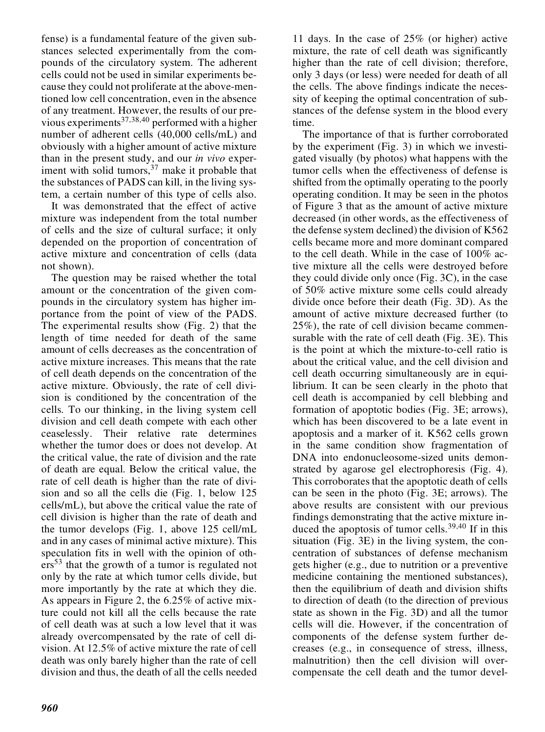fense) is a fundamental feature of the given substances selected experimentally from the compounds of the circulatory system. The adherent cells could not be used in similar experiments because they could not proliferate at the above-mentioned low cell concentration, even in the absence of any treatment. However, the results of our previous experiments $37,38,40$  performed with a higher number of adherent cells (40,000 cells/mL) and obviously with a higher amount of active mixture than in the present study, and our *in vivo* experiment with solid tumors,  $37$  make it probable that the substances of PADS can kill, in the living system, a certain number of this type of cells also.

It was demonstrated that the effect of active mixture was independent from the total number of cells and the size of cultural surface; it only depended on the proportion of concentration of active mixture and concentration of cells (data not shown).

The question may be raised whether the total amount or the concentration of the given compounds in the circulatory system has higher importance from the point of view of the PADS. The experimental results show (Fig. 2) that the length of time needed for death of the same amount of cells decreases as the concentration of active mixture increases. This means that the rate of cell death depends on the concentration of the active mixture. Obviously, the rate of cell division is conditioned by the concentration of the cells. To our thinking, in the living system cell division and cell death compete with each other ceaselessly. Their relative rate determines whether the tumor does or does not develop. At the critical value, the rate of division and the rate of death are equal. Below the critical value, the rate of cell death is higher than the rate of division and so all the cells die (Fig. 1, below 125 cells/mL), but above the critical value the rate of cell division is higher than the rate of death and the tumor develops (Fig. 1, above 125 cell/mL and in any cases of minimal active mixture). This speculation fits in well with the opinion of oth $ers<sup>53</sup>$  that the growth of a tumor is regulated not only by the rate at which tumor cells divide, but more importantly by the rate at which they die. As appears in Figure 2, the 6.25% of active mixture could not kill all the cells because the rate of cell death was at such a low level that it was already overcompensated by the rate of cell division. At 12.5% of active mixture the rate of cell death was only barely higher than the rate of cell division and thus, the death of all the cells needed 11 days. In the case of 25% (or higher) active mixture, the rate of cell death was significantly higher than the rate of cell division; therefore, only 3 days (or less) were needed for death of all the cells. The above findings indicate the necessity of keeping the optimal concentration of substances of the defense system in the blood every time.

The importance of that is further corroborated by the experiment (Fig. 3) in which we investigated visually (by photos) what happens with the tumor cells when the effectiveness of defense is shifted from the optimally operating to the poorly operating condition. It may be seen in the photos of Figure 3 that as the amount of active mixture decreased (in other words, as the effectiveness of the defense system declined) the division of K562 cells became more and more dominant compared to the cell death. While in the case of 100% active mixture all the cells were destroyed before they could divide only once (Fig. 3C), in the case of 50% active mixture some cells could already divide once before their death (Fig. 3D). As the amount of active mixture decreased further (to 25%), the rate of cell division became commensurable with the rate of cell death (Fig. 3E). This is the point at which the mixture-to-cell ratio is about the critical value, and the cell division and cell death occurring simultaneously are in equilibrium. It can be seen clearly in the photo that cell death is accompanied by cell blebbing and formation of apoptotic bodies (Fig. 3E; arrows), which has been discovered to be a late event in apoptosis and a marker of it. K562 cells grown in the same condition show fragmentation of DNA into endonucleosome-sized units demonstrated by agarose gel electrophoresis (Fig. 4). This corroborates that the apoptotic death of cells can be seen in the photo (Fig. 3E; arrows). The above results are consistent with our previous findings demonstrating that the active mixture induced the apoptosis of tumor cells. $39,40$  If in this situation (Fig. 3E) in the living system, the concentration of substances of defense mechanism gets higher (e.g., due to nutrition or a preventive medicine containing the mentioned substances), then the equilibrium of death and division shifts to direction of death (to the direction of previous state as shown in the Fig. 3D) and all the tumor cells will die. However, if the concentration of components of the defense system further decreases (e.g., in consequence of stress, illness, malnutrition) then the cell division will overcompensate the cell death and the tumor devel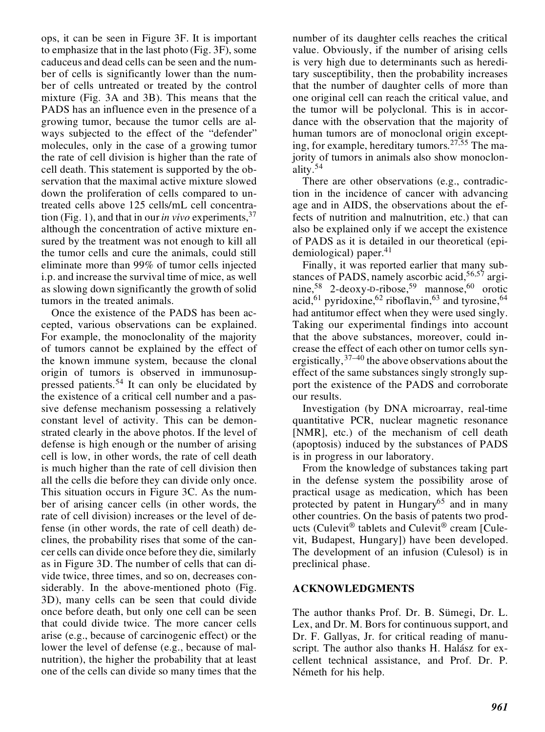ops, it can be seen in Figure 3F. It is important to emphasize that in the last photo (Fig. 3F), some caduceus and dead cells can be seen and the number of cells is significantly lower than the number of cells untreated or treated by the control mixture (Fig. 3A and 3B). This means that the PADS has an influence even in the presence of a growing tumor, because the tumor cells are always subjected to the effect of the "defender" molecules, only in the case of a growing tumor the rate of cell division is higher than the rate of cell death. This statement is supported by the observation that the maximal active mixture slowed down the proliferation of cells compared to untreated cells above 125 cells/mL cell concentration (Fig. 1), and that in our *in vivo* experiments,  $37$ although the concentration of active mixture ensured by the treatment was not enough to kill all the tumor cells and cure the animals, could still eliminate more than 99% of tumor cells injected i.p. and increase the survival time of mice, as well as slowing down significantly the growth of solid tumors in the treated animals.

Once the existence of the PADS has been accepted, various observations can be explained. For example, the monoclonality of the majority of tumors cannot be explained by the effect of the known immune system, because the clonal origin of tumors is observed in immunosuppressed patients.<sup>54</sup> It can only be elucidated by the existence of a critical cell number and a passive defense mechanism possessing a relatively constant level of activity. This can be demonstrated clearly in the above photos. If the level of defense is high enough or the number of arising cell is low, in other words, the rate of cell death is much higher than the rate of cell division then all the cells die before they can divide only once. This situation occurs in Figure 3C. As the number of arising cancer cells (in other words, the rate of cell division) increases or the level of defense (in other words, the rate of cell death) declines, the probability rises that some of the cancer cells can divide once before they die, similarly as in Figure 3D. The number of cells that can divide twice, three times, and so on, decreases considerably. In the above-mentioned photo (Fig. 3D), many cells can be seen that could divide once before death, but only one cell can be seen that could divide twice. The more cancer cells arise (e.g., because of carcinogenic effect) or the lower the level of defense (e.g., because of malnutrition), the higher the probability that at least one of the cells can divide so many times that the

number of its daughter cells reaches the critical value. Obviously, if the number of arising cells is very high due to determinants such as hereditary susceptibility, then the probability increases that the number of daughter cells of more than one original cell can reach the critical value, and the tumor will be polyclonal. This is in accordance with the observation that the majority of human tumors are of monoclonal origin excepting, for example, hereditary tumors.27,55 The majority of tumors in animals also show monoclonality.<sup>54</sup>

There are other observations (e.g., contradiction in the incidence of cancer with advancing age and in AIDS, the observations about the effects of nutrition and malnutrition, etc.) that can also be explained only if we accept the existence of PADS as it is detailed in our theoretical (epidemiological) paper. $41$ 

Finally, it was reported earlier that many substances of PADS, namely ascorbic acid,  $56,57$  arginine,<sup>58</sup> 2-deoxy-p-ribose,<sup>59</sup> mannose,<sup>60</sup> orotic acid,<sup>61</sup> pyridoxine,<sup>62</sup> riboflavin,<sup>63</sup> and tyrosine,<sup>64</sup> had antitumor effect when they were used singly. Taking our experimental findings into account that the above substances, moreover, could increase the effect of each other on tumor cells synergistically,  $37-40$  the above observations about the effect of the same substances singly strongly support the existence of the PADS and corroborate our results.

Investigation (by DNA microarray, real-time quantitative PCR, nuclear magnetic resonance [NMR], etc.) of the mechanism of cell death (apoptosis) induced by the substances of PADS is in progress in our laboratory.

From the knowledge of substances taking part in the defense system the possibility arose of practical usage as medication, which has been protected by patent in Hungary<sup>65</sup> and in many other countries. On the basis of patents two products (Culevit<sup>®</sup> tablets and Culevit<sup>®</sup> cream [Culevit, Budapest, Hungary]) have been developed. The development of an infusion (Culesol) is in preclinical phase.

## **ACKNOWLEDGMENTS**

The author thanks Prof. Dr. B. Sümegi, Dr. L. Lex, and Dr. M. Bors for continuous support, and Dr. F. Gallyas, Jr. for critical reading of manuscript. The author also thanks H. Halász for excellent technical assistance, and Prof. Dr. P. Németh for his help.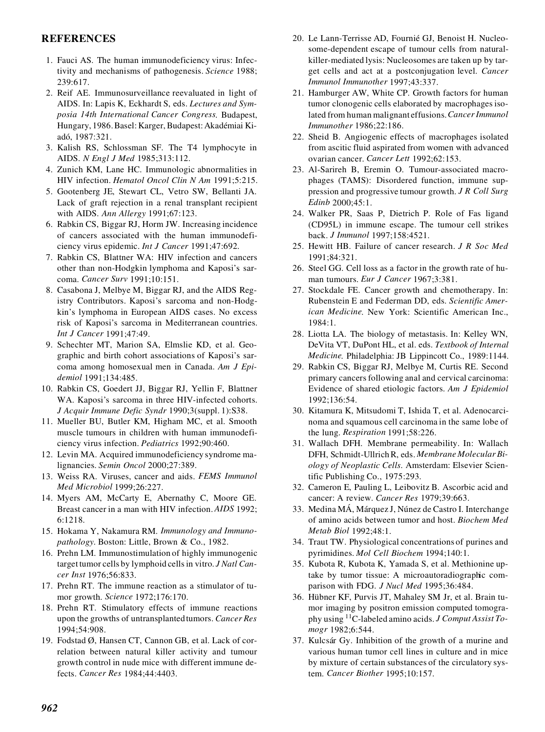## **REFERENCES**

- 1. Fauci AS. The human immunodeficiency virus: Infectivity and mechanisms of pathogenesis. *Science* 1988; 239:617.
- 2. Reif AE. Immunosurveillance reevaluated in light of AIDS. In: Lapis K, Eckhardt S, eds. *Lectures and Symposia 14th International Cancer Congress*. Budapest, Hungary, 1986. Basel: Karger, Budapest: Akadémiai Kiadó, 1987:321.
- 3. Kalish RS, Schlossman SF. The T4 lymphocyte in AIDS. *N Engl J Med* 1985;313:112.
- 4. Zunich KM, Lane HC. Immunologic abnormalities in HIV infection. *Hematol Oncol Clin N Am* 1991;5:215.
- 5. Gootenberg JE, Stewart CL, Vetro SW, Bellanti JA. Lack of graft rejection in a renal transplant recipient with AIDS. *Ann Allergy* 1991;67:123.
- 6. Rabkin CS, Biggar RJ, Horm JW. Increasing incidence of cancers associated with the human immunodeficiency virus epidemic. *Int J Cancer* 1991;47:692.
- 7. Rabkin CS, Blattner WA: HIV infection and cancers other than non-Hodgkin lymphoma and Kaposi's sar coma. *Cancer Surv* 1991;10:151.
- 8. Casabona J, Melbye M, Biggar RJ, and the AIDS Registry Contributors. Kaposi's sarcoma and non-Hodgkin's lymphoma in European AIDS cases. No excess risk of Kaposi's sarcoma in Mediterranean countries. *Int J Cancer* 1991;47:49.
- 9. Schechter MT, Marion SA, Elmslie KD, et al. Geographic and birth cohort associations of Kaposi's sar coma among homosexual men in Canada. *Am J Epidemiol* 1991;134:485.
- 10. Rabkin CS, Goedert JJ, Biggar RJ, Yellin F, Blattner WA. Kaposi's sarcoma in three HIV-infected cohorts. *J Acquir Immune Defic Syndr* 1990;3(suppl. 1):S38.
- 11. Mueller BU, Butler KM, Higham MC, et al. Smooth muscle tumours in children with human immunodeficiency virus infection. *Pediatrics* 1992;90:460.
- 12. Levin MA. Acquired immunodeficiency syndrome malignancies. *Semin Oncol* 2000;27:389.
- 13. Weiss RA. Viruses, cancer and aids. *FEMS Immunol Med Microbiol* 1999;26:227.
- 14. Myers AM, McCarty E, Abernathy C, Moore GE. Breast cancer in a man with HIV infection. *AIDS* 1992; 6:1218.
- 15. Hokama Y, Nakamura RM. *Immunology and Immunopathology.* Boston: Little, Brown & Co., 1982.
- 16. Prehn LM. Immunostimulation of highly immunogenic target tumor cells by lymphoid cells in vitro. *J Natl Can cer Inst* 1976;56:833.
- 17. Prehn RT. The immune reaction as a stimulator of tu mor growth. *Science* 1972;176:170.
- 18. Prehn RT. Stimulatory effects of immune reactions upon the growths of untransplanted tumors. *Cancer Res* 1994;54:908.
- 19. Fodstad Ø, Hansen CT, Cannon GB, et al. Lack of correlation between natural killer activity and tumour growth control in nude mice with different immune defects. *Cancer Res* 1984;44:4403.
- 20. Le Lann-Terrisse AD, Fournié GJ, Benoist H. Nucleosome-dependent escape of tumour cells from naturalkiller-mediated lysis: Nucleosomes are taken up by target cells and act at a postconjugation level. *Cancer Immunol Immunother* 1997;43:337.
- 21. Hamburger AW, White CP. Growth factors for human tumor clonogenic cells elaborated by macrophages isolated from human malignant effusions. *Cancer Immunol Immunother* 1986;22:186.
- 22. Sheid B. Angiogenic effects of macrophages isolated from ascitic fluid aspirated from women with advanced ovarian cancer. *Cancer Lett* 1992;62:153.
- 23. Al-Sarireh B, Eremin O. Tumour-associated macro phages (TAMS): Disordered function, immune suppression and progressive tumour growth. *J R Coll Surg Edinb* 2000;45:1.
- 24. Walker PR, Saas P, Dietrich P. Role of Fas ligand (CD95L) in immune escape. The tumour cell strikes back. *J Immunol* 1997;158:4521.
- 25. Hewitt HB. Failure of cancer research. *J R Soc Med* 1991;84:321.
- 26. Steel GG. Cell loss as a factor in the growth rate of hu man tumours. *Eur J Cancer* 1967;3:381.
- 27. Stockdale FE. Cancer growth and chemotherapy. In: Rubenstein E and Federman DD, eds. *Scientific American Medicine*. New York: Scientific American Inc., 1984:1.
- 28. Liotta LA. The biology of metastasis. In: Kelley WN, DeVita VT, DuPont HL, et al. eds. *Textbook of Internal Medicine*. Philadelphia: JB Lippincott Co., 1989:1144.
- 29. Rabkin CS, Biggar RJ, Melbye M, Curtis RE. Second primary cancers following anal and cervical carcinoma: Evidence of shared etiologic factors. *Am J Epidemiol* 1992;136:54.
- 30. Kitamura K, Mitsudomi T, Ishida T, et al. Adenocarci noma and squamous cell carcinoma in the same lobe of the lung. *Respiration* 1991;58:226.
- 31. Wallach DFH. Membrane permeability. In: Wallach DFH, Schmidt-Ullrich R, eds. *Membrane Molecular Biology of Neoplastic Cells*. Amsterdam: Elsevier Scientific Publishing Co., 1975:293.
- 32. Cameron E, Pauling L, Leibovitz B. Ascorbic acid and cancer: A review. *Cancer Res* 1979;39:663.
- 33. Medina MÁ, Márquez J, Núnez de Castro I. Interchange of amino acids between tumor and host. *Biochem Med Metab Biol* 1992;48:1.
- 34. Traut TW. Physiological concentrations of purines and pyrimidines. *Mol Cell Biochem* 1994;140:1.
- 35. Kubota R, Kubota K, Yamada S, et al. Methionine uptake by tumor tissue: A microautoradiographic com parison with FDG. *J Nucl Med* 1995;36:484.
- 36. Hübner KF, Purvis JT, Mahaley SM Jr, et al. Brain tu mor imaging by positron emission computed tomography using 11C-labeled amino acids. *J Comput Assist Tomogr* 1982;6:544.
- 37. Kulcsár Gy. Inhibition of the growth of a murine and various human tumor cell lines in culture and in mice by mixture of certain substances of the circulatory system. *Cancer Biother* 1995;10:157.